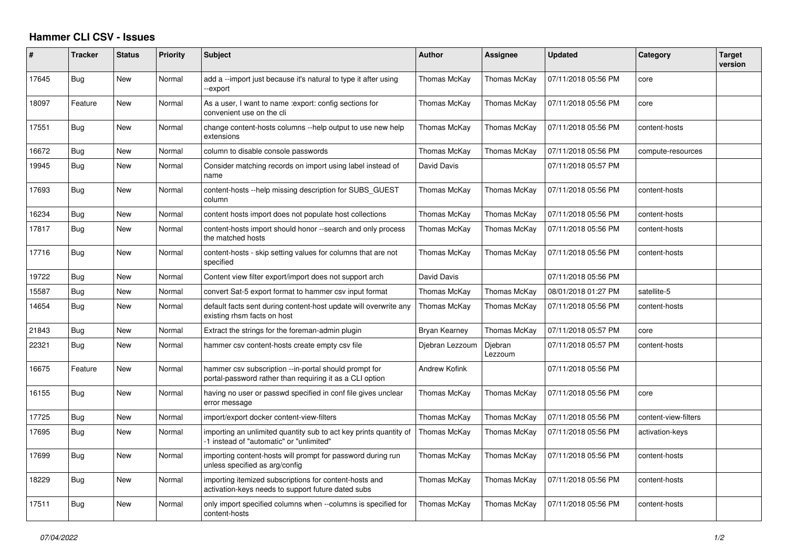## **Hammer CLI CSV - Issues**

| #     | <b>Tracker</b> | <b>Status</b> | <b>Priority</b> | <b>Subject</b>                                                                                                    | <b>Author</b>   | Assignee           | <b>Updated</b>      | Category             | <b>Target</b><br>version |
|-------|----------------|---------------|-----------------|-------------------------------------------------------------------------------------------------------------------|-----------------|--------------------|---------------------|----------------------|--------------------------|
| 17645 | Bug            | New           | Normal          | add a --import just because it's natural to type it after using<br>--export                                       | Thomas McKay    | Thomas McKay       | 07/11/2018 05:56 PM | core                 |                          |
| 18097 | Feature        | New           | Normal          | As a user, I want to name : export: config sections for<br>convenient use on the cli                              | Thomas McKay    | Thomas McKay       | 07/11/2018 05:56 PM | core                 |                          |
| 17551 | <b>Bug</b>     | New           | Normal          | change content-hosts columns --help output to use new help<br>extensions                                          | Thomas McKay    | Thomas McKay       | 07/11/2018 05:56 PM | content-hosts        |                          |
| 16672 | Bug            | New           | Normal          | column to disable console passwords                                                                               | Thomas McKay    | Thomas McKay       | 07/11/2018 05:56 PM | compute-resources    |                          |
| 19945 | Bug            | New           | Normal          | Consider matching records on import using label instead of<br>name                                                | David Davis     |                    | 07/11/2018 05:57 PM |                      |                          |
| 17693 | Bug            | New           | Normal          | content-hosts --help missing description for SUBS GUEST<br>column                                                 | Thomas McKay    | Thomas McKay       | 07/11/2018 05:56 PM | content-hosts        |                          |
| 16234 | Bug            | New           | Normal          | content hosts import does not populate host collections                                                           | Thomas McKay    | Thomas McKay       | 07/11/2018 05:56 PM | content-hosts        |                          |
| 17817 | Bug            | New           | Normal          | content-hosts import should honor --search and only process<br>the matched hosts                                  | Thomas McKay    | Thomas McKay       | 07/11/2018 05:56 PM | content-hosts        |                          |
| 17716 | Bug            | New           | Normal          | content-hosts - skip setting values for columns that are not<br>specified                                         | Thomas McKay    | Thomas McKay       | 07/11/2018 05:56 PM | content-hosts        |                          |
| 19722 | Bug            | New           | Normal          | Content view filter export/import does not support arch                                                           | David Davis     |                    | 07/11/2018 05:56 PM |                      |                          |
| 15587 | Bug            | New           | Normal          | convert Sat-5 export format to hammer csv input format                                                            | Thomas McKay    | Thomas McKay       | 08/01/2018 01:27 PM | satellite-5          |                          |
| 14654 | Bug            | New           | Normal          | default facts sent during content-host update will overwrite any<br>existing rhsm facts on host                   | Thomas McKay    | Thomas McKay       | 07/11/2018 05:56 PM | content-hosts        |                          |
| 21843 | Bug            | <b>New</b>    | Normal          | Extract the strings for the foreman-admin plugin                                                                  | Bryan Kearney   | Thomas McKay       | 07/11/2018 05:57 PM | core                 |                          |
| 22321 | Bug            | New           | Normal          | hammer csv content-hosts create empty csv file                                                                    | Djebran Lezzoum | Djebran<br>Lezzoum | 07/11/2018 05:57 PM | content-hosts        |                          |
| 16675 | Feature        | New           | Normal          | hammer csv subscription --in-portal should prompt for<br>portal-password rather than requiring it as a CLI option | Andrew Kofink   |                    | 07/11/2018 05:56 PM |                      |                          |
| 16155 | Bug            | <b>New</b>    | Normal          | having no user or passwd specified in conf file gives unclear<br>error message                                    | Thomas McKay    | Thomas McKay       | 07/11/2018 05:56 PM | core                 |                          |
| 17725 | Bug            | <b>New</b>    | Normal          | import/export docker content-view-filters                                                                         | Thomas McKay    | Thomas McKay       | 07/11/2018 05:56 PM | content-view-filters |                          |
| 17695 | Bug            | New           | Normal          | importing an unlimited quantity sub to act key prints quantity of<br>-1 instead of "automatic" or "unlimited"     | Thomas McKay    | Thomas McKay       | 07/11/2018 05:56 PM | activation-keys      |                          |
| 17699 | Bug            | <b>New</b>    | Normal          | importing content-hosts will prompt for password during run<br>unless specified as arg/config                     | Thomas McKay    | Thomas McKay       | 07/11/2018 05:56 PM | content-hosts        |                          |
| 18229 | Bug            | New           | Normal          | importing itemized subscriptions for content-hosts and<br>activation-keys needs to support future dated subs      | Thomas McKay    | Thomas McKay       | 07/11/2018 05:56 PM | content-hosts        |                          |
| 17511 | Bug            | New           | Normal          | only import specified columns when --columns is specified for<br>content-hosts                                    | Thomas McKay    | Thomas McKay       | 07/11/2018 05:56 PM | content-hosts        |                          |